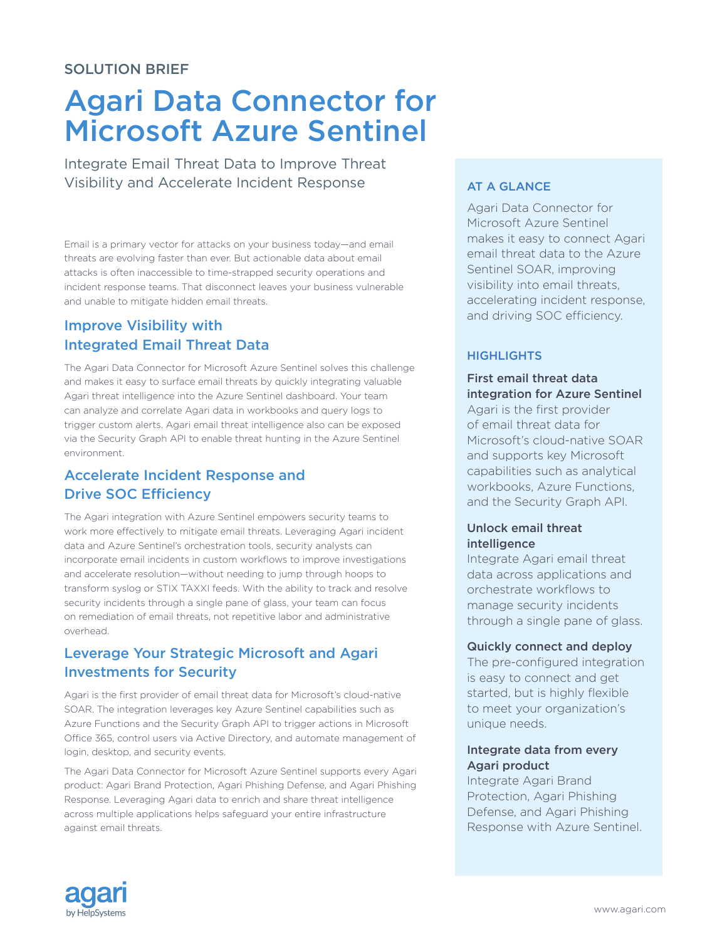# Agari Data Connector for Microsoft Azure Sentinel

Integrate Email Threat Data to Improve Threat Visibility and Accelerate Incident Response

Email is a primary vector for attacks on your business today—and email threats are evolving faster than ever. But actionable data about email attacks is often inaccessible to time-strapped security operations and incident response teams. That disconnect leaves your business vulnerable and unable to mitigate hidden email threats.

# Improve Visibility with Integrated Email Threat Data

The Agari Data Connector for Microsoft Azure Sentinel solves this challenge and makes it easy to surface email threats by quickly integrating valuable Agari threat intelligence into the Azure Sentinel dashboard. Your team can analyze and correlate Agari data in workbooks and query logs to trigger custom alerts. Agari email threat intelligence also can be exposed via the Security Graph API to enable threat hunting in the Azure Sentinel environment.

## Accelerate Incident Response and Drive SOC Efficiency

The Agari integration with Azure Sentinel empowers security teams to work more effectively to mitigate email threats. Leveraging Agari incident data and Azure Sentinel's orchestration tools, security analysts can incorporate email incidents in custom workflows to improve investigations and accelerate resolution—without needing to jump through hoops to transform syslog or STIX TAXXI feeds. With the ability to track and resolve security incidents through a single pane of glass, your team can focus on remediation of email threats, not repetitive labor and administrative overhead.

## Leverage Your Strategic Microsoft and Agari Investments for Security

Agari is the first provider of email threat data for Microsoft's cloud-native SOAR. The integration leverages key Azure Sentinel capabilities such as Azure Functions and the Security Graph API to trigger actions in Microsoft Office 365, control users via Active Directory, and automate management of login, desktop, and security events.

The Agari Data Connector for Microsoft Azure Sentinel supports every Agari product: Agari Brand Protection, Agari Phishing Defense, and Agari Phishing Response. Leveraging Agari data to enrich and share threat intelligence across multiple applications helps safeguard your entire infrastructure against email threats.

## AT A GLANCE

Agari Data Connector for Microsoft Azure Sentinel makes it easy to connect Agari email threat data to the Azure Sentinel SOAR, improving visibility into email threats, accelerating incident response, and driving SOC efficiency.

### **HIGHLIGHTS**

First email threat data integration for Azure Sentinel Agari is the first provider of email threat data for Microsoft's cloud-native SOAR

and supports key Microsoft capabilities such as analytical workbooks, Azure Functions, and the Security Graph API.

#### Unlock email threat intelligence

Integrate Agari email threat data across applications and orchestrate workflows to manage security incidents through a single pane of glass.

#### Quickly connect and deploy

The pre-configured integration is easy to connect and get started, but is highly flexible to meet your organization's unique needs.

#### Integrate data from every Agari product

Integrate Agari Brand Protection, Agari Phishing Defense, and Agari Phishing Response with Azure Sentinel.